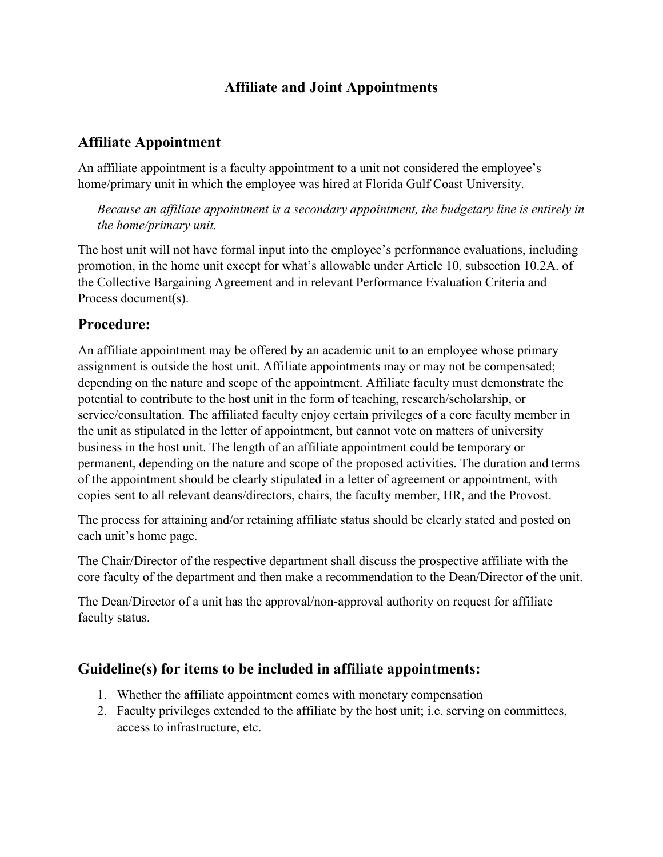## **Affiliate and Joint Appointments**

## **Affiliate Appointment**

An affiliate appointment is a faculty appointment to a unit not considered the employee's home/primary unit in which the employee was hired at Florida Gulf Coast University.

*Because an affiliate appointment is a secondary appointment, the budgetary line is entirely in the home/primary unit.*

The host unit will not have formal input into the employee's performance evaluations, including promotion, in the home unit except for what's allowable under Article 10, subsection 10.2A. of the Collective Bargaining Agreement and in relevant Performance Evaluation Criteria and Process document(s).

#### **Procedure:**

An affiliate appointment may be offered by an academic unit to an employee whose primary assignment is outside the host unit. Affiliate appointments may or may not be compensated; depending on the nature and scope of the appointment. Affiliate faculty must demonstrate the potential to contribute to the host unit in the form of teaching, research/scholarship, or service/consultation. The affiliated faculty enjoy certain privileges of a core faculty member in the unit as stipulated in the letter of appointment, but cannot vote on matters of university business in the host unit. The length of an affiliate appointment could be temporary or permanent, depending on the nature and scope of the proposed activities. The duration and terms of the appointment should be clearly stipulated in a letter of agreement or appointment, with copies sent to all relevant deans/directors, chairs, the faculty member, HR, and the Provost.

The process for attaining and/or retaining affiliate status should be clearly stated and posted on each unit's home page.

The Chair/Director of the respective department shall discuss the prospective affiliate with the core faculty of the department and then make a recommendation to the Dean/Director of the unit.

The Dean/Director of a unit has the approval/non-approval authority on request for affiliate faculty status.

#### **Guideline(s) for items to be included in affiliate appointments:**

- 1. Whether the affiliate appointment comes with monetary compensation
- 2. Faculty privileges extended to the affiliate by the host unit; i.e. serving on committees, access to infrastructure, etc.